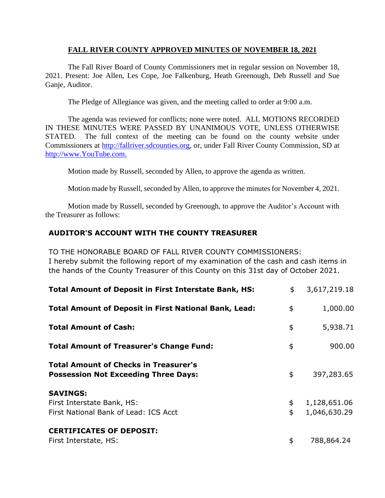### **FALL RIVER COUNTY APPROVED MINUTES OF NOVEMBER 18, 2021**

The Fall River Board of County Commissioners met in regular session on November 18, 2021. Present: Joe Allen, Les Cope, Joe Falkenburg, Heath Greenough, Deb Russell and Sue Ganje, Auditor.

The Pledge of Allegiance was given, and the meeting called to order at 9:00 a.m.

The agenda was reviewed for conflicts; none were noted. ALL MOTIONS RECORDED IN THESE MINUTES WERE PASSED BY UNANIMOUS VOTE, UNLESS OTHERWISE STATED. The full context of the meeting can be found on the county website under Commissioners at [http://fallriver.sdcounties.org,](http://fallriver.sdcounties.org/) or, under Fall River County Commission, SD at [http://www.YouTube.com.](http://www.youtube.com/)

Motion made by Russell, seconded by Allen, to approve the agenda as written.

Motion made by Russell, seconded by Allen, to approve the minutes for November 4, 2021.

Motion made by Russell, seconded by Greenough, to approve the Auditor's Account with the Treasurer as follows:

# **AUDITOR'S ACCOUNT WITH THE COUNTY TREASURER**

TO THE HONORABLE BOARD OF FALL RIVER COUNTY COMMISSIONERS:

I hereby submit the following report of my examination of the cash and cash items in the hands of the County Treasurer of this County on this 31st day of October 2021.

| <b>Total Amount of Deposit in First Interstate Bank, HS:</b>                                | \$       | 3,617,219.18                 |
|---------------------------------------------------------------------------------------------|----------|------------------------------|
| <b>Total Amount of Deposit in First National Bank, Lead:</b>                                | \$       | 1,000.00                     |
| <b>Total Amount of Cash:</b>                                                                | \$       | 5,938.71                     |
| <b>Total Amount of Treasurer's Change Fund:</b>                                             | \$       | 900.00                       |
| <b>Total Amount of Checks in Treasurer's</b><br><b>Possession Not Exceeding Three Days:</b> | \$       | 397,283.65                   |
| <b>SAVINGS:</b><br>First Interstate Bank, HS:<br>First National Bank of Lead: ICS Acct      | \$<br>\$ | 1,128,651.06<br>1,046,630.29 |
| <b>CERTIFICATES OF DEPOSIT:</b><br>First Interstate, HS:                                    | \$       | 788,864.24                   |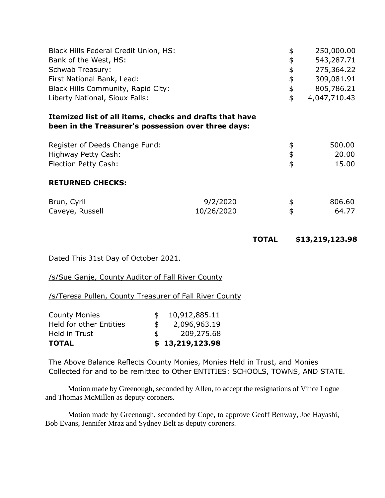| Black Hills Federal Credit Union, HS:                                                                          |            | \$           | 250,000.00      |
|----------------------------------------------------------------------------------------------------------------|------------|--------------|-----------------|
| Bank of the West, HS:                                                                                          |            | \$           | 543,287.71      |
| Schwab Treasury:                                                                                               |            | \$           | 275,364.22      |
| First National Bank, Lead:                                                                                     |            | \$           | 309,081.91      |
| Black Hills Community, Rapid City:                                                                             |            | \$           | 805,786.21      |
| Liberty National, Sioux Falls:                                                                                 |            | \$           | 4,047,710.43    |
| Itemized list of all items, checks and drafts that have<br>been in the Treasurer's possession over three days: |            |              |                 |
| Register of Deeds Change Fund:                                                                                 |            |              | 500.00          |
| Highway Petty Cash:                                                                                            |            | \$<br>\$     | 20.00           |
| Election Petty Cash:                                                                                           |            |              | 15.00           |
| <b>RETURNED CHECKS:</b>                                                                                        |            |              |                 |
| Brun, Cyril                                                                                                    | 9/2/2020   | \$           | 806.60          |
| Caveye, Russell                                                                                                | 10/26/2020 | \$           | 64.77           |
|                                                                                                                |            | <b>TOTAL</b> | \$13,219,123.98 |

Dated This 31st Day of October 2021.

# /s/Sue Ganje, County Auditor of Fall River County

/s/Teresa Pullen, County Treasurer of Fall River County

| <b>County Monies</b>           |               | 10,912,885.11   |
|--------------------------------|---------------|-----------------|
| <b>Held for other Entities</b> | $\mathcal{F}$ | 2,096,963.19    |
| Held in Trust                  | \$            | 209,275.68      |
| <b>TOTAL</b>                   |               | \$13,219,123.98 |

The Above Balance Reflects County Monies, Monies Held in Trust, and Monies Collected for and to be remitted to Other ENTITIES: SCHOOLS, TOWNS, AND STATE.

Motion made by Greenough, seconded by Allen, to accept the resignations of Vince Logue and Thomas McMillen as deputy coroners.

Motion made by Greenough, seconded by Cope, to approve Geoff Benway, Joe Hayashi, Bob Evans, Jennifer Mraz and Sydney Belt as deputy coroners.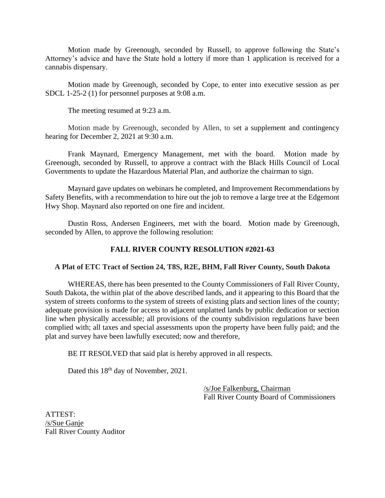Motion made by Greenough, seconded by Russell, to approve following the State's Attorney's advice and have the State hold a lottery if more than 1 application is received for a cannabis dispensary.

Motion made by Greenough, seconded by Cope, to enter into executive session as per SDCL 1-25-2 (1) for personnel purposes at 9:08 a.m.

The meeting resumed at 9:23 a.m.

Motion made by Greenough, seconded by Allen, to set a supplement and contingency hearing for December 2, 2021 at 9:30 a.m.

Frank Maynard, Emergency Management, met with the board. Motion made by Greenough, seconded by Russell, to approve a contract with the Black Hills Council of Local Governments to update the Hazardous Material Plan, and authorize the chairman to sign.

Maynard gave updates on webinars he completed, and Improvement Recommendations by Safety Benefits, with a recommendation to hire out the job to remove a large tree at the Edgemont Hwy Shop. Maynard also reported on one fire and incident.

Dustin Ross, Andersen Engineers, met with the board. Motion made by Greenough, seconded by Allen, to approve the following resolution:

# **FALL RIVER COUNTY RESOLUTION #2021-63**

#### **A Plat of ETC Tract of Section 24, T8S, R2E, BHM, Fall River County, South Dakota**

WHEREAS, there has been presented to the County Commissioners of Fall River County, South Dakota, the within plat of the above described lands, and it appearing to this Board that the system of streets conforms to the system of streets of existing plats and section lines of the county; adequate provision is made for access to adjacent unplatted lands by public dedication or section line when physically accessible; all provisions of the county subdivision regulations have been complied with; all taxes and special assessments upon the property have been fully paid; and the plat and survey have been lawfully executed; now and therefore,

BE IT RESOLVED that said plat is hereby approved in all respects.

Dated this  $18<sup>th</sup>$  day of November, 2021.

/s/Joe Falkenburg, Chairman Fall River County Board of Commissioners

ATTEST: /s/Sue Ganje Fall River County Auditor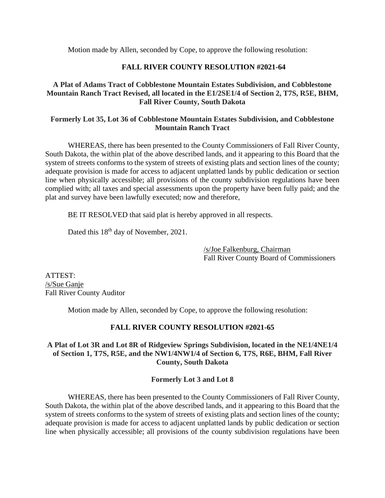Motion made by Allen, seconded by Cope, to approve the following resolution:

# **FALL RIVER COUNTY RESOLUTION #2021-64**

### **A Plat of Adams Tract of Cobblestone Mountain Estates Subdivision, and Cobblestone Mountain Ranch Tract Revised, all located in the E1/2SE1/4 of Section 2, T7S, R5E, BHM, Fall River County, South Dakota**

## **Formerly Lot 35, Lot 36 of Cobblestone Mountain Estates Subdivision, and Cobblestone Mountain Ranch Tract**

WHEREAS, there has been presented to the County Commissioners of Fall River County, South Dakota, the within plat of the above described lands, and it appearing to this Board that the system of streets conforms to the system of streets of existing plats and section lines of the county; adequate provision is made for access to adjacent unplatted lands by public dedication or section line when physically accessible; all provisions of the county subdivision regulations have been complied with; all taxes and special assessments upon the property have been fully paid; and the plat and survey have been lawfully executed; now and therefore,

BE IT RESOLVED that said plat is hereby approved in all respects.

Dated this  $18<sup>th</sup>$  day of November, 2021.

/s/Joe Falkenburg, Chairman Fall River County Board of Commissioners

ATTEST: /s/Sue Ganje Fall River County Auditor

Motion made by Allen, seconded by Cope, to approve the following resolution:

# **FALL RIVER COUNTY RESOLUTION #2021-65**

### **A Plat of Lot 3R and Lot 8R of Ridgeview Springs Subdivision, located in the NE1/4NE1/4 of Section 1, T7S, R5E, and the NW1/4NW1/4 of Section 6, T7S, R6E, BHM, Fall River County, South Dakota**

# **Formerly Lot 3 and Lot 8**

WHEREAS, there has been presented to the County Commissioners of Fall River County, South Dakota, the within plat of the above described lands, and it appearing to this Board that the system of streets conforms to the system of streets of existing plats and section lines of the county; adequate provision is made for access to adjacent unplatted lands by public dedication or section line when physically accessible; all provisions of the county subdivision regulations have been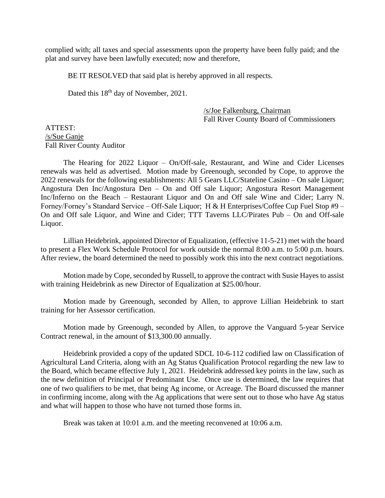complied with; all taxes and special assessments upon the property have been fully paid; and the plat and survey have been lawfully executed; now and therefore,

BE IT RESOLVED that said plat is hereby approved in all respects.

Dated this 18th day of November, 2021.

/s/Joe Falkenburg, Chairman Fall River County Board of Commissioners

ATTEST: /s/Sue Ganje Fall River County Auditor

The Hearing for 2022 Liquor – On/Off-sale, Restaurant, and Wine and Cider Licenses renewals was held as advertised. Motion made by Greenough, seconded by Cope, to approve the 2022 renewals for the following establishments: All 5 Gears LLC/Stateline Casino – On sale Liquor; Angostura Den Inc/Angostura Den – On and Off sale Liquor; Angostura Resort Management Inc/Inferno on the Beach – Restaurant Liquor and On and Off sale Wine and Cider; Larry N. Forney/Forney's Standard Service – Off-Sale Liquor; H & H Enterprises/Coffee Cup Fuel Stop #9 – On and Off sale Liquor, and Wine and Cider; TTT Taverns LLC/Pirates Pub – On and Off-sale Liquor.

Lillian Heidebrink, appointed Director of Equalization, (effective 11-5-21) met with the board to present a Flex Work Schedule Protocol for work outside the normal 8:00 a.m. to 5:00 p.m. hours. After review, the board determined the need to possibly work this into the next contract negotiations.

Motion made by Cope, seconded by Russell, to approve the contract with Susie Hayes to assist with training Heidebrink as new Director of Equalization at \$25.00/hour.

Motion made by Greenough, seconded by Allen, to approve Lillian Heidebrink to start training for her Assessor certification.

Motion made by Greenough, seconded by Allen, to approve the Vanguard 5-year Service Contract renewal, in the amount of \$13,300.00 annually.

Heidebrink provided a copy of the updated SDCL 10-6-112 codified law on Classification of Agricultural Land Criteria, along with an Ag Status Qualification Protocol regarding the new law to the Board, which became effective July 1, 2021. Heidebrink addressed key points in the law, such as the new definition of Principal or Predominant Use. Once use is determined, the law requires that one of two qualifiers to be met, that being Ag income, or Acreage. The Board discussed the manner in confirming income, along with the Ag applications that were sent out to those who have Ag status and what will happen to those who have not turned those forms in.

Break was taken at 10:01 a.m. and the meeting reconvened at 10:06 a.m.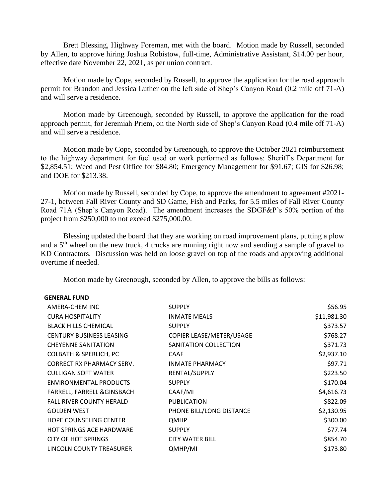Brett Blessing, Highway Foreman, met with the board. Motion made by Russell, seconded by Allen, to approve hiring Joshua Robistow, full-time, Administrative Assistant, \$14.00 per hour, effective date November 22, 2021, as per union contract.

Motion made by Cope, seconded by Russell, to approve the application for the road approach permit for Brandon and Jessica Luther on the left side of Shep's Canyon Road (0.2 mile off 71-A) and will serve a residence.

Motion made by Greenough, seconded by Russell, to approve the application for the road approach permit, for Jeremiah Priem, on the North side of Shep's Canyon Road (0.4 mile off 71-A) and will serve a residence.

Motion made by Cope, seconded by Greenough, to approve the October 2021 reimbursement to the highway department for fuel used or work performed as follows: Sheriff's Department for \$2,854.51; Weed and Pest Office for \$84.80; Emergency Management for \$91.67; GIS for \$26.98; and DOE for \$213.38.

Motion made by Russell, seconded by Cope, to approve the amendment to agreement #2021- 27-1, between Fall River County and SD Game, Fish and Parks, for 5.5 miles of Fall River County Road 71A (Shep's Canyon Road). The amendment increases the SDGF&P's 50% portion of the project from \$250,000 to not exceed \$275,000.00.

Blessing updated the board that they are working on road improvement plans, putting a plow and a 5th wheel on the new truck, 4 trucks are running right now and sending a sample of gravel to KD Contractors. Discussion was held on loose gravel on top of the roads and approving additional overtime if needed.

Motion made by Greenough, seconded by Allen, to approve the bills as follows:

#### **GENERAL FUND**

| AMERA-CHEM INC                    | <b>SUPPLY</b>            | \$56.95     |
|-----------------------------------|--------------------------|-------------|
| <b>CURA HOSPITALITY</b>           | <b>INMATE MEALS</b>      | \$11,981.30 |
| <b>BLACK HILLS CHEMICAL</b>       | <b>SUPPLY</b>            | \$373.57    |
| <b>CENTURY BUSINESS LEASING</b>   | COPIER LEASE/METER/USAGE | \$768.27    |
| <b>CHEYENNE SANITATION</b>        | SANITATION COLLECTION    | \$371.73    |
| <b>COLBATH &amp; SPERLICH, PC</b> | CAAF                     | \$2,937.10  |
| CORRECT RX PHARMACY SERV.         | <b>INMATE PHARMACY</b>   | \$97.71     |
| <b>CULLIGAN SOFT WATER</b>        | RENTAL/SUPPLY            | \$223.50    |
| <b>ENVIRONMENTAL PRODUCTS</b>     | <b>SUPPLY</b>            | \$170.04    |
| FARRELL, FARRELL & GINSBACH       | CAAF/MI                  | \$4,616.73  |
| <b>FALL RIVER COUNTY HERALD</b>   | <b>PUBLICATION</b>       | \$822.09    |
| <b>GOLDEN WEST</b>                | PHONE BILL/LONG DISTANCE | \$2,130.95  |
| <b>HOPE COUNSELING CENTER</b>     | QMHP                     | \$300.00    |
| <b>HOT SPRINGS ACE HARDWARE</b>   | <b>SUPPLY</b>            | \$77.74     |
| CITY OF HOT SPRINGS               | <b>CITY WATER BILL</b>   | \$854.70    |
| LINCOLN COUNTY TREASURER          | QMHP/MI                  | \$173.80    |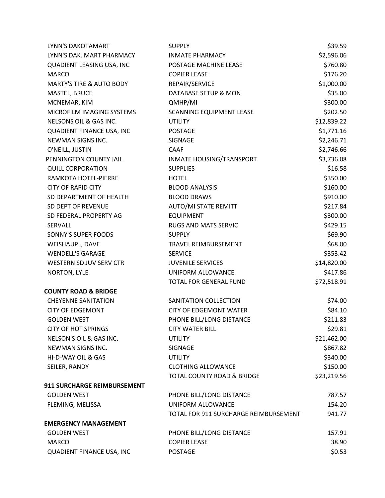| LYNN'S DAKOTAMART                   | <b>SUPPLY</b>                         | \$39.59     |
|-------------------------------------|---------------------------------------|-------------|
| LYNN'S DAK. MART PHARMACY           | <b>INMATE PHARMACY</b>                | \$2,596.06  |
| QUADIENT LEASING USA, INC           | POSTAGE MACHINE LEASE                 | \$760.80    |
| <b>MARCO</b>                        | <b>COPIER LEASE</b>                   | \$176.20    |
| <b>MARTY'S TIRE &amp; AUTO BODY</b> | REPAIR/SERVICE                        | \$1,000.00  |
| MASTEL, BRUCE                       | DATABASE SETUP & MON                  | \$35.00     |
| MCNEMAR, KIM                        | QMHP/MI                               | \$300.00    |
| MICROFILM IMAGING SYSTEMS           | SCANNING EQUIPMENT LEASE              | \$202.50    |
| NELSONS OIL & GAS INC.              | <b>UTILITY</b>                        | \$12,839.22 |
| QUADIENT FINANCE USA, INC           | <b>POSTAGE</b>                        | \$1,771.16  |
| NEWMAN SIGNS INC.                   | SIGNAGE                               | \$2,246.71  |
| O'NEILL, JUSTIN                     | <b>CAAF</b>                           | \$2,746.66  |
| PENNINGTON COUNTY JAIL              | INMATE HOUSING/TRANSPORT              | \$3,736.08  |
| <b>QUILL CORPORATION</b>            | <b>SUPPLIES</b>                       | \$16.58     |
| RAMKOTA HOTEL-PIERRE                | <b>HOTEL</b>                          | \$350.00    |
| <b>CITY OF RAPID CITY</b>           | <b>BLOOD ANALYSIS</b>                 | \$160.00    |
| SD DEPARTMENT OF HEALTH             | <b>BLOOD DRAWS</b>                    | \$910.00    |
| SD DEPT OF REVENUE                  | <b>AUTO/MI STATE REMITT</b>           | \$217.84    |
| SD FEDERAL PROPERTY AG              | <b>EQUIPMENT</b>                      | \$300.00    |
| SERVALL                             | RUGS AND MATS SERVIC                  | \$429.15    |
| SONNY'S SUPER FOODS                 | <b>SUPPLY</b>                         | \$69.90     |
| WEISHAUPL, DAVE                     | TRAVEL REIMBURSEMENT                  | \$68.00     |
| <b>WENDELL'S GARAGE</b>             | <b>SERVICE</b>                        | \$353.42    |
| WESTERN SD JUV SERV CTR             | <b>JUVENILE SERVICES</b>              | \$14,820.00 |
| NORTON, LYLE                        | UNIFORM ALLOWANCE                     | \$417.86    |
|                                     | TOTAL FOR GENERAL FUND                | \$72,518.91 |
| <b>COUNTY ROAD &amp; BRIDGE</b>     |                                       |             |
| <b>CHEYENNE SANITATION</b>          | SANITATION COLLECTION                 | \$74.00     |
| <b>CITY OF EDGEMONT</b>             | <b>CITY OF EDGEMONT WATER</b>         | \$84.10     |
| <b>GOLDEN WEST</b>                  | PHONE BILL/LONG DISTANCE              | \$211.83    |
| <b>CITY OF HOT SPRINGS</b>          | <b>CITY WATER BILL</b>                | \$29.81     |
| NELSON'S OIL & GAS INC.             | <b>UTILITY</b>                        | \$21,462.00 |
| NEWMAN SIGNS INC.                   | SIGNAGE                               | \$867.82    |
| HI-D-WAY OIL & GAS                  | <b>UTILITY</b>                        | \$340.00    |
| SEILER, RANDY                       | <b>CLOTHING ALLOWANCE</b>             | \$150.00    |
|                                     | TOTAL COUNTY ROAD & BRIDGE            | \$23,219.56 |
| 911 SURCHARGE REIMBURSEMENT         |                                       |             |
| <b>GOLDEN WEST</b>                  | PHONE BILL/LONG DISTANCE              | 787.57      |
| FLEMING, MELISSA                    | UNIFORM ALLOWANCE                     | 154.20      |
|                                     | TOTAL FOR 911 SURCHARGE REIMBURSEMENT | 941.77      |
| <b>EMERGENCY MANAGEMENT</b>         |                                       |             |
| <b>GOLDEN WEST</b>                  | PHONE BILL/LONG DISTANCE              | 157.91      |
| <b>MARCO</b>                        | <b>COPIER LEASE</b>                   | 38.90       |
| QUADIENT FINANCE USA, INC           | <b>POSTAGE</b>                        | \$0.53      |